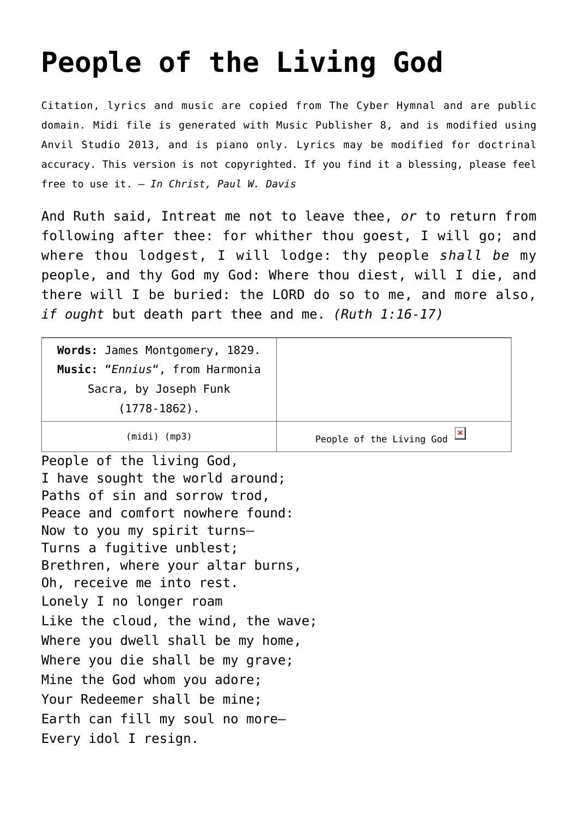## **[People of the Living God](http://reproachofmen.org/hymns-and-music/people-of-the-living-god/)**

Citation, lyrics and music are copied from [The Cyber Hymnal](http://www.hymntime.com/tch/) and are public domain. Midi file is generated with [Music Publisher 8](http://www.braeburn.co.uk/mp.htm), and is modified using [Anvil Studio 2013](http://www.anvilstudio.com/), and is piano only. Lyrics may be modified for doctrinal accuracy. This version is not copyrighted. If you find it a blessing, please feel free to use it. — *In Christ, Paul W. Davis*

And Ruth said, Intreat me not to leave thee, *or* to return from following after thee: for whither thou goest, I will go; and where thou lodgest, I will lodge: thy people *shall be* my people, and thy God my God: Where thou diest, will I die, and there will I be buried: the LORD do so to me, and more also, *if ought* but death part thee and me. *(Ruth 1:16-17)*

| Words: James Montgomery, 1829.<br>Music: "Ennius", from Harmonia |                                                          |
|------------------------------------------------------------------|----------------------------------------------------------|
| Sacra, by Joseph Funk<br>$(1778-1862)$ .                         |                                                          |
| $(midi)$ (mp3)                                                   | People of the Living God $\frac{\mathbf{x}}{\mathbf{x}}$ |

People of the living God, I have sought the world around; Paths of sin and sorrow trod, Peace and comfort nowhere found: Now to you my spirit turns— Turns a fugitive unblest; Brethren, where your altar burns, Oh, receive me into rest. Lonely I no longer roam Like the cloud, the wind, the wave; Where you dwell shall be my home, Where you die shall be my grave; Mine the God whom you adore; Your Redeemer shall be mine; Earth can fill my soul no more— Every idol I resign.